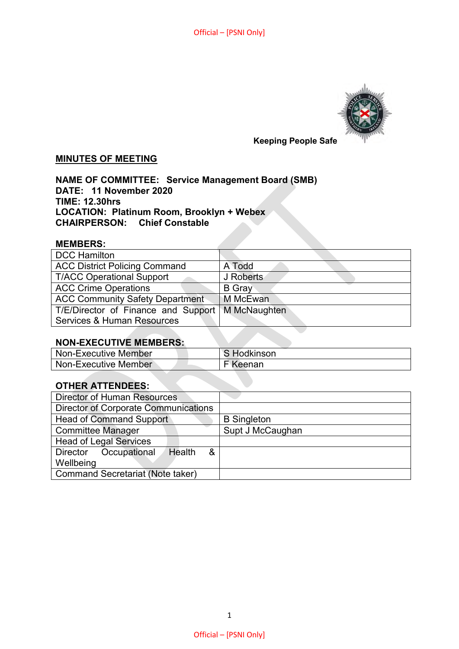

## **MINUTES OF MEETING**

**NAME OF COMMITTEE: Service Management Board (SMB) DATE: 11 November 2020 TIME: 12.30hrs LOCATION: Platinum Room, Brooklyn + Webex CHAIRPERSON: Chief Constable** 

#### **MEMBERS:**

| <b>DCC Hamilton</b>                    |               |
|----------------------------------------|---------------|
| <b>ACC District Policing Command</b>   | A Todd        |
| <b>T/ACC Operational Support</b>       | J Roberts     |
| <b>ACC Crime Operations</b>            | <b>B</b> Gray |
| <b>ACC Community Safety Department</b> | M McEwan      |
| T/E/Director of Finance and Support    | M McNaughten  |
| Services & Human Resources             |               |

### **NON-EXECUTIVE MEMBERS:**

| Non-Executive Member | <b>Hodkinson</b> |
|----------------------|------------------|
| Non-Executive Member | F Keenan         |

### **OTHER ATTENDEES:**

| <b>Director of Human Resources</b>          |                    |
|---------------------------------------------|--------------------|
| <b>Director of Corporate Communications</b> |                    |
| <b>Head of Command Support</b>              | <b>B</b> Singleton |
| <b>Committee Manager</b>                    | Supt J McCaughan   |
| <b>Head of Legal Services</b>               |                    |
| Occupational<br>&<br>Health<br>Director     |                    |
| Wellbeing                                   |                    |
| <b>Command Secretariat (Note taker)</b>     |                    |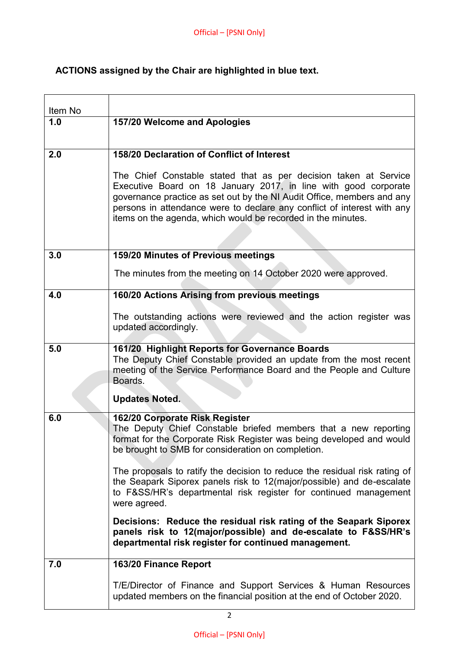# **ACTIONS assigned by the Chair are highlighted in blue text.**

| Item No |                                                                                                                                                                                                                                                                                                                                                          |
|---------|----------------------------------------------------------------------------------------------------------------------------------------------------------------------------------------------------------------------------------------------------------------------------------------------------------------------------------------------------------|
| 1.0     | 157/20 Welcome and Apologies                                                                                                                                                                                                                                                                                                                             |
|         |                                                                                                                                                                                                                                                                                                                                                          |
| 2.0     | 158/20 Declaration of Conflict of Interest                                                                                                                                                                                                                                                                                                               |
|         | The Chief Constable stated that as per decision taken at Service<br>Executive Board on 18 January 2017, in line with good corporate<br>governance practice as set out by the NI Audit Office, members and any<br>persons in attendance were to declare any conflict of interest with any<br>items on the agenda, which would be recorded in the minutes. |
| 3.0     | 159/20 Minutes of Previous meetings                                                                                                                                                                                                                                                                                                                      |
|         | The minutes from the meeting on 14 October 2020 were approved.                                                                                                                                                                                                                                                                                           |
| 4.0     | 160/20 Actions Arising from previous meetings                                                                                                                                                                                                                                                                                                            |
|         | The outstanding actions were reviewed and the action register was<br>updated accordingly.                                                                                                                                                                                                                                                                |
| 5.0     | 161/20 Highlight Reports for Governance Boards<br>The Deputy Chief Constable provided an update from the most recent<br>meeting of the Service Performance Board and the People and Culture<br>Boards.                                                                                                                                                   |
|         | <b>Updates Noted.</b>                                                                                                                                                                                                                                                                                                                                    |
| 6.0     | 162/20 Corporate Risk Register<br>The Deputy Chief Constable briefed members that a new reporting<br>format for the Corporate Risk Register was being developed and would<br>be brought to SMB for consideration on completion.                                                                                                                          |
|         | The proposals to ratify the decision to reduce the residual risk rating of<br>the Seapark Siporex panels risk to 12(major/possible) and de-escalate<br>to F&SS/HR's departmental risk register for continued management<br>were agreed.                                                                                                                  |
|         | Decisions: Reduce the residual risk rating of the Seapark Siporex<br>panels risk to 12(major/possible) and de-escalate to F&SS/HR's<br>departmental risk register for continued management.                                                                                                                                                              |
| 7.0     | 163/20 Finance Report                                                                                                                                                                                                                                                                                                                                    |
|         | T/E/Director of Finance and Support Services & Human Resources<br>updated members on the financial position at the end of October 2020.                                                                                                                                                                                                                  |
|         |                                                                                                                                                                                                                                                                                                                                                          |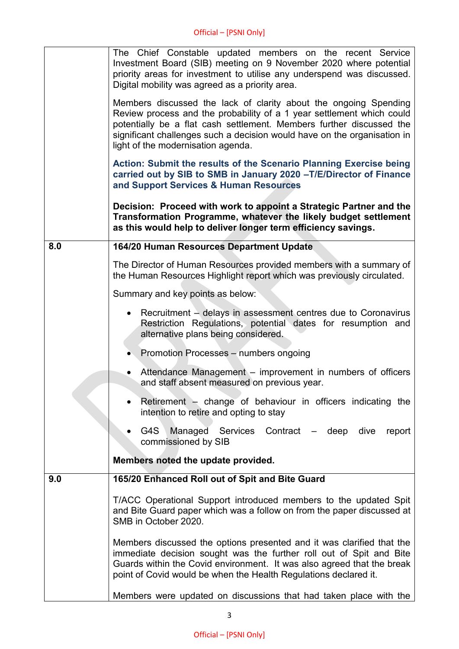|     | The Chief Constable updated members on the recent Service<br>Investment Board (SIB) meeting on 9 November 2020 where potential<br>priority areas for investment to utilise any underspend was discussed.<br>Digital mobility was agreed as a priority area.                                                                         |
|-----|-------------------------------------------------------------------------------------------------------------------------------------------------------------------------------------------------------------------------------------------------------------------------------------------------------------------------------------|
|     | Members discussed the lack of clarity about the ongoing Spending<br>Review process and the probability of a 1 year settlement which could<br>potentially be a flat cash settlement. Members further discussed the<br>significant challenges such a decision would have on the organisation in<br>light of the modernisation agenda. |
|     | Action: Submit the results of the Scenario Planning Exercise being<br>carried out by SIB to SMB in January 2020 - T/E/Director of Finance<br>and Support Services & Human Resources                                                                                                                                                 |
|     | Decision: Proceed with work to appoint a Strategic Partner and the<br>Transformation Programme, whatever the likely budget settlement<br>as this would help to deliver longer term efficiency savings.                                                                                                                              |
| 8.0 | 164/20 Human Resources Department Update                                                                                                                                                                                                                                                                                            |
|     | The Director of Human Resources provided members with a summary of<br>the Human Resources Highlight report which was previously circulated.                                                                                                                                                                                         |
|     | Summary and key points as below:                                                                                                                                                                                                                                                                                                    |
|     | Recruitment – delays in assessment centres due to Coronavirus<br>$\bullet$<br>Restriction Regulations, potential dates for resumption and<br>alternative plans being considered.                                                                                                                                                    |
|     | • Promotion Processes - numbers ongoing                                                                                                                                                                                                                                                                                             |
|     | Attendance Management – improvement in numbers of officers<br>and staff absent measured on previous year.                                                                                                                                                                                                                           |
|     | Retirement $-$ change of behaviour in officers indicating the<br>intention to retire and opting to stay                                                                                                                                                                                                                             |
|     | G4S Managed Services Contract - deep dive<br>report<br>commissioned by SIB                                                                                                                                                                                                                                                          |
|     | Members noted the update provided.                                                                                                                                                                                                                                                                                                  |
| 9.0 | 165/20 Enhanced Roll out of Spit and Bite Guard                                                                                                                                                                                                                                                                                     |
|     | T/ACC Operational Support introduced members to the updated Spit<br>and Bite Guard paper which was a follow on from the paper discussed at<br>SMB in October 2020.                                                                                                                                                                  |
|     | Members discussed the options presented and it was clarified that the<br>immediate decision sought was the further roll out of Spit and Bite<br>Guards within the Covid environment. It was also agreed that the break<br>point of Covid would be when the Health Regulations declared it.                                          |
|     | Members were updated on discussions that had taken place with the                                                                                                                                                                                                                                                                   |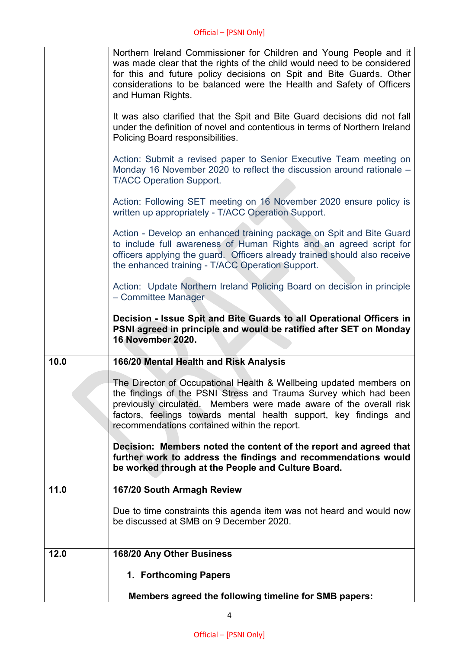|      | Northern Ireland Commissioner for Children and Young People and it<br>was made clear that the rights of the child would need to be considered<br>for this and future policy decisions on Spit and Bite Guards. Other<br>considerations to be balanced were the Health and Safety of Officers<br>and Human Rights.                 |
|------|-----------------------------------------------------------------------------------------------------------------------------------------------------------------------------------------------------------------------------------------------------------------------------------------------------------------------------------|
|      | It was also clarified that the Spit and Bite Guard decisions did not fall<br>under the definition of novel and contentious in terms of Northern Ireland<br>Policing Board responsibilities.                                                                                                                                       |
|      | Action: Submit a revised paper to Senior Executive Team meeting on<br>Monday 16 November 2020 to reflect the discussion around rationale –<br><b>T/ACC Operation Support.</b>                                                                                                                                                     |
|      | Action: Following SET meeting on 16 November 2020 ensure policy is<br>written up appropriately - T/ACC Operation Support.                                                                                                                                                                                                         |
|      | Action - Develop an enhanced training package on Spit and Bite Guard<br>to include full awareness of Human Rights and an agreed script for<br>officers applying the guard. Officers already trained should also receive<br>the enhanced training - T/ACC Operation Support.                                                       |
|      | Action: Update Northern Ireland Policing Board on decision in principle<br>- Committee Manager                                                                                                                                                                                                                                    |
|      | Decision - Issue Spit and Bite Guards to all Operational Officers in<br>PSNI agreed in principle and would be ratified after SET on Monday<br><b>16 November 2020.</b>                                                                                                                                                            |
| 10.0 | 166/20 Mental Health and Risk Analysis                                                                                                                                                                                                                                                                                            |
|      | The Director of Occupational Health & Wellbeing updated members on<br>the findings of the PSNI Stress and Trauma Survey which had been<br>previously circulated. Members were made aware of the overall risk<br>factors, feelings towards mental health support, key findings and<br>recommendations contained within the report. |
|      | Decision: Members noted the content of the report and agreed that<br>further work to address the findings and recommendations would<br>be worked through at the People and Culture Board.                                                                                                                                         |
| 11.0 | 167/20 South Armagh Review                                                                                                                                                                                                                                                                                                        |
|      | Due to time constraints this agenda item was not heard and would now<br>be discussed at SMB on 9 December 2020.                                                                                                                                                                                                                   |
| 12.0 | 168/20 Any Other Business                                                                                                                                                                                                                                                                                                         |
|      | 1. Forthcoming Papers                                                                                                                                                                                                                                                                                                             |
|      | Members agreed the following timeline for SMB papers:                                                                                                                                                                                                                                                                             |